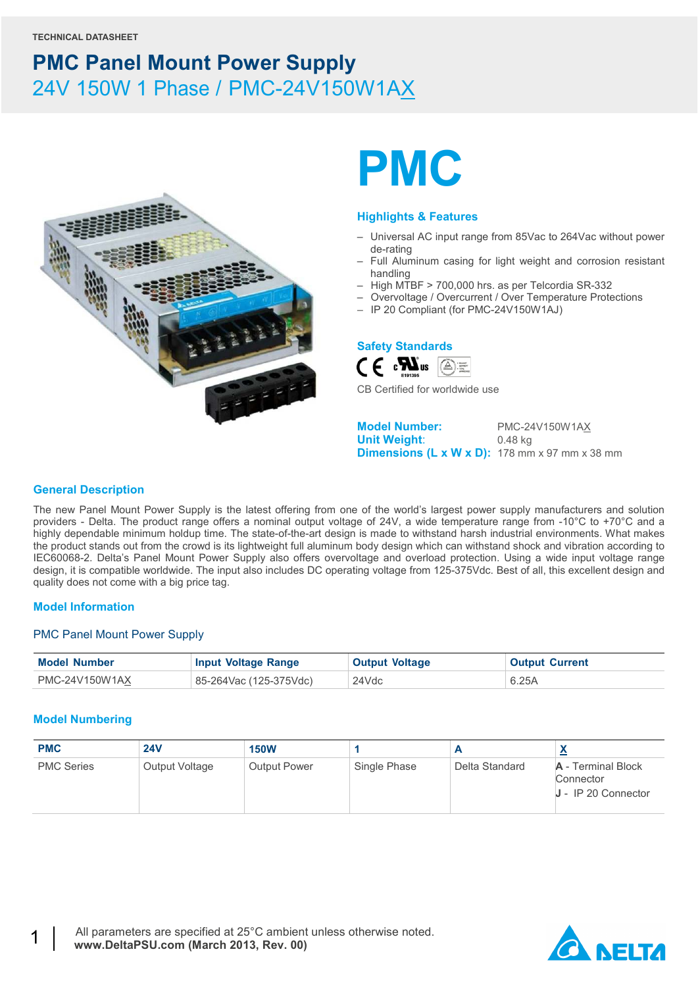

# **PMC**

#### **Highlights & Features**

- Universal AC input range from 85Vac to 264Vac without power de-rating
- Full Aluminum casing for light weight and corrosion resistant handling
- High MTBF > 700,000 hrs. as per Telcordia SR-332
- Overvoltage / Overcurrent / Over Temperature Protections
- IP 20 Compliant (for PMC-24V150W1AJ)

#### **Safety Standards**



CB Certified for worldwide use

**Model Number:** PMC-24V150W1AX **Unit Weight**: 0.48 kg **Dimensions (L x W x D):** 178 mm x 97 mm x 38 mm

#### **General Description**

The new Panel Mount Power Supply is the latest offering from one of the world's largest power supply manufacturers and solution providers - Delta. The product range offers a nominal output voltage of 24V, a wide temperature range from -10°C to +70°C and a highly dependable minimum holdup time. The state-of-the-art design is made to withstand harsh industrial environments. What makes the product stands out from the crowd is its lightweight full aluminum body design which can withstand shock and vibration according to IEC60068-2. Delta's Panel Mount Power Supply also offers overvoltage and overload protection. Using a wide input voltage range design, it is compatible worldwide. The input also includes DC operating voltage from 125-375Vdc. Best of all, this excellent design and quality does not come with a big price tag.

#### **Model Information**

#### PMC Panel Mount Power Supply

| <b>Model Number</b> | <b>Input Voltage Range</b> | <b>Output Voltage</b> | <b>Output Current</b> |
|---------------------|----------------------------|-----------------------|-----------------------|
| PMC-24V150W1AX      | 85-264Vac (125-375Vdc)     | 24Vdc                 | 6.25A                 |

#### **Model Numbering**

| <b>PMC</b>        | <b>24V</b>     | <b>150W</b>         |              |                |                                                          |
|-------------------|----------------|---------------------|--------------|----------------|----------------------------------------------------------|
| <b>PMC Series</b> | Output Voltage | <b>Output Power</b> | Single Phase | Delta Standard | A - Terminal Block<br>Connector<br>$J - IP 20$ Connector |

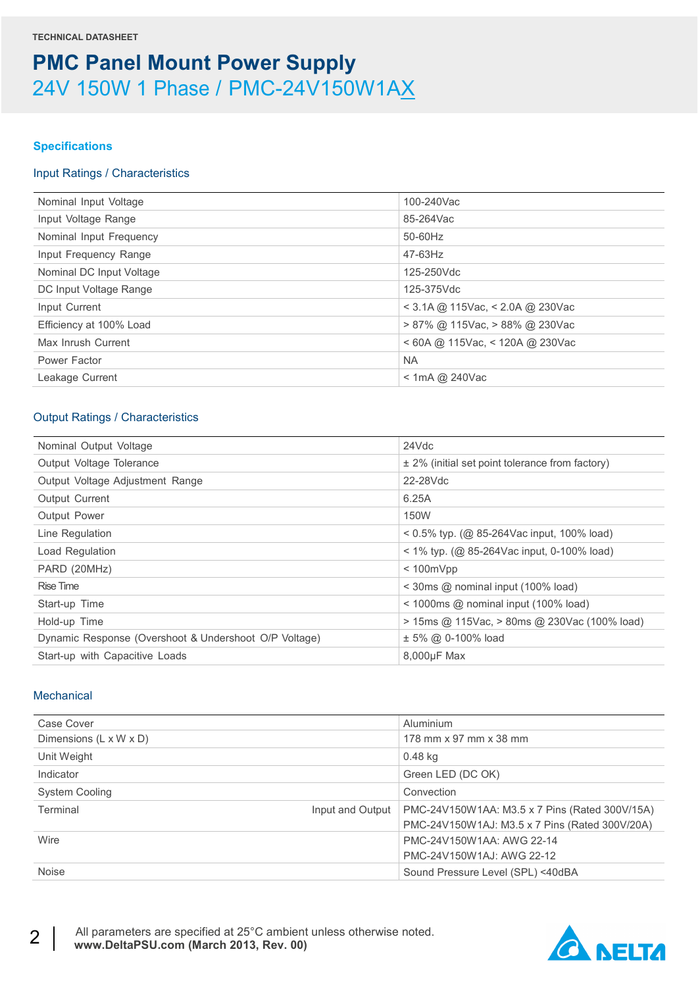#### **Specifications**

#### Input Ratings / Characteristics

| Nominal Input Voltage    | 100-240Vac                           |
|--------------------------|--------------------------------------|
| Input Voltage Range      | 85-264Vac                            |
| Nominal Input Frequency  | 50-60Hz                              |
| Input Frequency Range    | 47-63Hz                              |
| Nominal DC Input Voltage | 125-250Vdc                           |
| DC Input Voltage Range   | 125-375Vdc                           |
| Input Current            | < 3.1A @ 115Vac, < 2.0A @ 230Vac     |
| Efficiency at 100% Load  | $> 87\%$ @ 115Vac, $> 88\%$ @ 230Vac |
| Max Inrush Current       | $<$ 60A @ 115Vac, $<$ 120A @ 230Vac  |
| Power Factor             | <b>NA</b>                            |
| Leakage Current          | $<$ 1mA @ 240Vac                     |
|                          |                                      |

### Output Ratings / Characteristics

| Nominal Output Voltage                                | 24Vdc                                                     |
|-------------------------------------------------------|-----------------------------------------------------------|
| Output Voltage Tolerance                              | $\pm$ 2% (initial set point tolerance from factory)       |
| Output Voltage Adjustment Range                       | 22-28Vdc                                                  |
| Output Current                                        | 6.25A                                                     |
| <b>Output Power</b>                                   | <b>150W</b>                                               |
| Line Regulation                                       | $0.5\%$ typ. (@ 85-264Vac input, 100% load)               |
| Load Regulation                                       | $1\%$ typ. (@ 85-264Vac input, 0-100% load)               |
| PARD (20MHz)                                          | $< 100$ m $Vpp$                                           |
| Rise Time                                             | $\leq$ 30ms @ nominal input (100% load)                   |
| Start-up Time                                         | $\leq$ 1000ms $\textcircled{a}$ nominal input (100% load) |
| Hold-up Time                                          | $>$ 15ms @ 115Vac, $>$ 80ms @ 230Vac (100% load)          |
| Dynamic Response (Overshoot & Undershoot O/P Voltage) | ± 5% @ 0-100% load                                        |
| Start-up with Capacitive Loads                        | 8,000µF Max                                               |

#### **Mechanical**

| Case Cover                   | Aluminium                                      |
|------------------------------|------------------------------------------------|
| Dimensions (L x W x D)       | 178 mm x 97 mm x 38 mm                         |
| Unit Weight                  | 0.48 kg                                        |
| Indicator                    | Green LED (DC OK)                              |
| System Cooling               | Convection                                     |
| Terminal<br>Input and Output | PMC-24V150W1AA: M3.5 x 7 Pins (Rated 300V/15A) |
|                              | PMC-24V150W1AJ: M3.5 x 7 Pins (Rated 300V/20A) |
| Wire                         | PMC-24V150W1AA: AWG 22-14                      |
|                              | PMC-24V150W1AJ: AWG 22-12                      |
| Noise                        | Sound Pressure Level (SPL) <40dBA              |

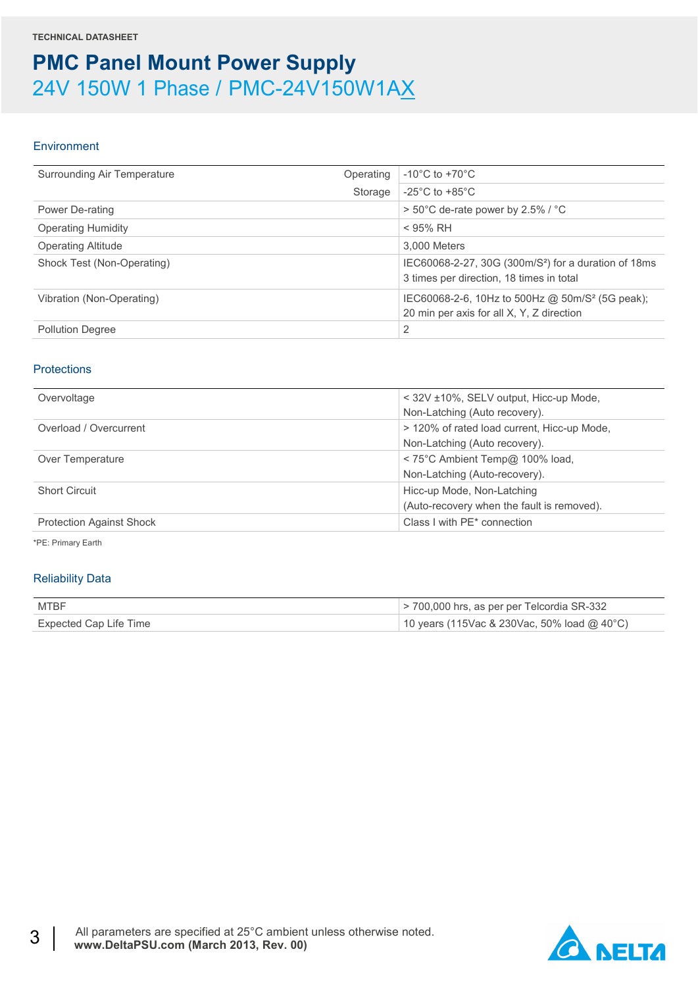#### Environment

| Surrounding Air Temperature | Operating | $-10^{\circ}$ C to $+70^{\circ}$ C                                                                           |
|-----------------------------|-----------|--------------------------------------------------------------------------------------------------------------|
|                             | Storage   | $-25^{\circ}$ C to $+85^{\circ}$ C                                                                           |
| Power De-rating             |           | > 50°C de-rate power by 2.5% / °C                                                                            |
| <b>Operating Humidity</b>   |           | $<$ 95% RH                                                                                                   |
| <b>Operating Altitude</b>   |           | 3.000 Meters                                                                                                 |
| Shock Test (Non-Operating)  |           | IEC60068-2-27, 30G (300m/S <sup>2</sup> ) for a duration of 18ms<br>3 times per direction, 18 times in total |
| Vibration (Non-Operating)   |           | IEC60068-2-6, 10Hz to 500Hz @ 50m/S <sup>2</sup> (5G peak);<br>20 min per axis for all X, Y, Z direction     |
| <b>Pollution Degree</b>     |           | 2                                                                                                            |

#### **Protections**

| Overvoltage                     | < 32V ±10%, SELV output, Hicc-up Mode,      |
|---------------------------------|---------------------------------------------|
|                                 | Non-Latching (Auto recovery).               |
| Overload / Overcurrent          | > 120% of rated load current, Hicc-up Mode, |
|                                 | Non-Latching (Auto recovery).               |
| Over Temperature                | < 75°C Ambient Temp@ 100% load,             |
|                                 | Non-Latching (Auto-recovery).               |
| <b>Short Circuit</b>            | Hicc-up Mode, Non-Latching                  |
|                                 | (Auto-recovery when the fault is removed).  |
| <b>Protection Against Shock</b> | Class I with PE* connection                 |

\*PE: Primary Earth

#### Reliability Data

| MTBF                   | $>$ 700,000 hrs, as per per Telcordia SR-332 |
|------------------------|----------------------------------------------|
| Expected Cap Life Time | 10 years (115Vac & 230Vac, 50% load @ 40°C)  |

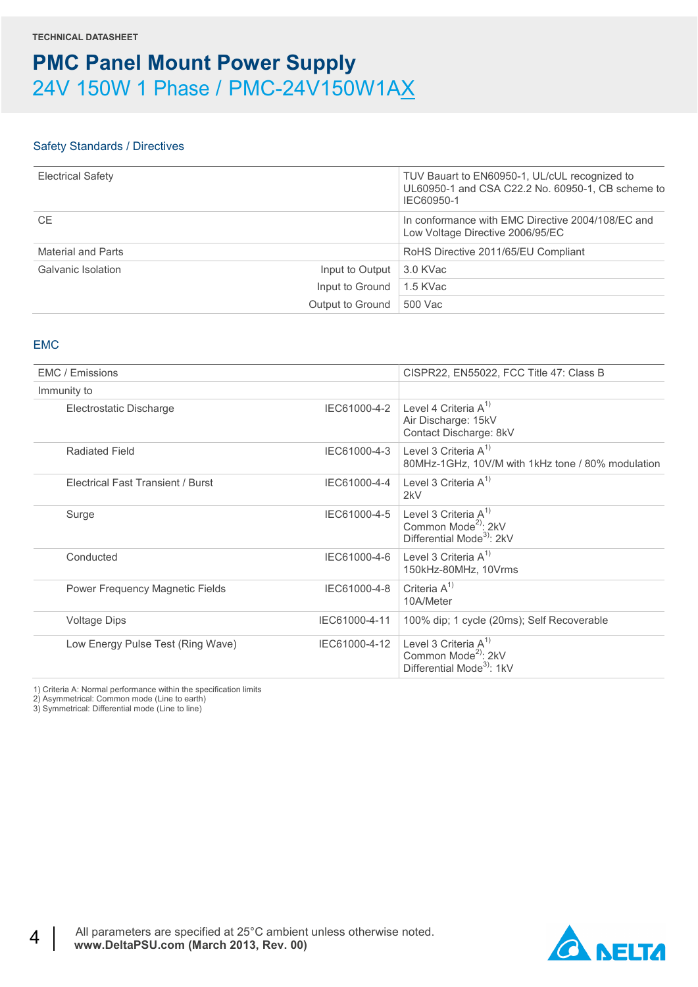#### Safety Standards / Directives

| <b>Electrical Safety</b>  |                                  | TUV Bauart to EN60950-1, UL/cUL recognized to<br>UL60950-1 and CSA C22.2 No. 60950-1, CB scheme to<br>IEC60950-1 |
|---------------------------|----------------------------------|------------------------------------------------------------------------------------------------------------------|
| <b>CE</b>                 |                                  | In conformance with EMC Directive 2004/108/EC and<br>Low Voltage Directive 2006/95/EC                            |
| Material and Parts        |                                  | RoHS Directive 2011/65/EU Compliant                                                                              |
| <b>Galvanic Isolation</b> | Input to Output                  | 3.0 KVac                                                                                                         |
|                           | Input to Ground $\vert$ 1.5 KVac |                                                                                                                  |
|                           | Output to Ground                 | 500 Vac                                                                                                          |

#### EMC

| <b>EMC</b> / Emissions                   |               | CISPR22, EN55022, FCC Title 47: Class B                                                              |
|------------------------------------------|---------------|------------------------------------------------------------------------------------------------------|
| Immunity to                              |               |                                                                                                      |
| Electrostatic Discharge                  | IEC61000-4-2  | Level 4 Criteria $A^{1}$<br>Air Discharge: 15kV<br>Contact Discharge: 8kV                            |
| Radiated Field                           | IEC61000-4-3  | Level 3 Criteria $A^{1}$<br>80MHz-1GHz, 10V/M with 1kHz tone / 80% modulation                        |
| <b>Electrical Fast Transient / Burst</b> | IEC61000-4-4  | Level 3 Criteria $A^{1}$<br>2kV                                                                      |
| Surge                                    | IEC61000-4-5  | Level 3 Criteria $A^{1}$<br>Common Mode <sup>2)</sup> : 2kV<br>Differential Mode <sup>3</sup> : 2kV  |
| Conducted                                | IEC61000-4-6  | Level 3 Criteria $A^{1}$<br>150kHz-80MHz, 10Vrms                                                     |
| Power Frequency Magnetic Fields          | IEC61000-4-8  | Criteria $A^{1}$<br>10A/Meter                                                                        |
| <b>Voltage Dips</b>                      | IEC61000-4-11 | 100% dip; 1 cycle (20ms); Self Recoverable                                                           |
| Low Energy Pulse Test (Ring Wave)        | IEC61000-4-12 | Level 3 Criteria $A^{1}$<br>Common Mode <sup>2)</sup> : 2kV<br>Differential Mode <sup>3)</sup> : 1kV |

1) Criteria A: Normal performance within the specification limits

2) Asymmetrical: Common mode (Line to earth)

3) Symmetrical: Differential mode (Line to line)

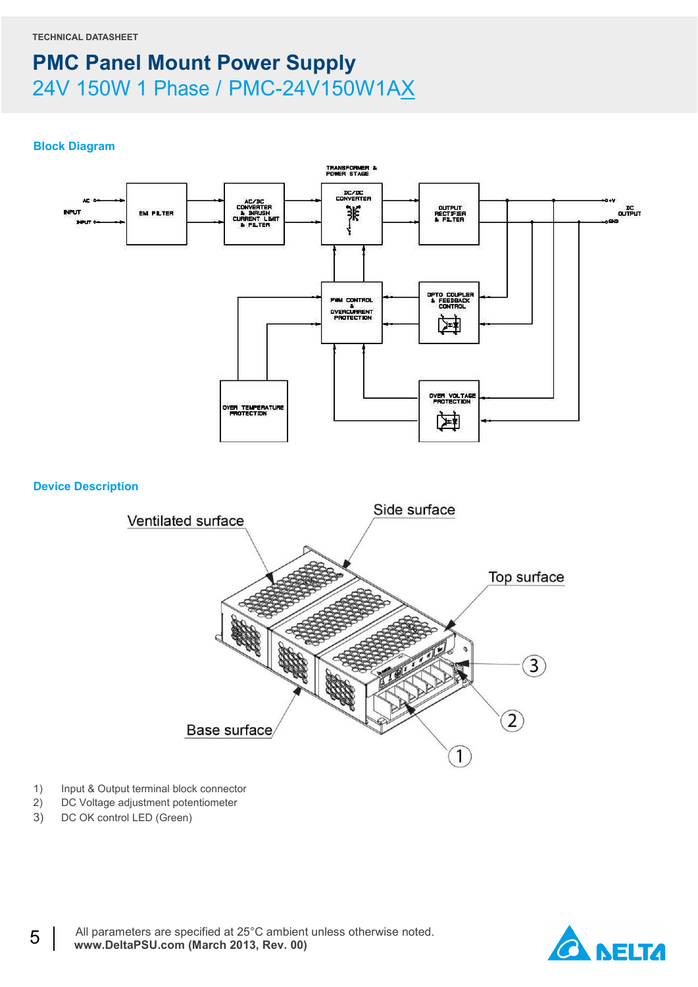#### **Block Diagram**



- 1) Input & Output terminal block connector
- 2) DC Voltage adjustment potentiometer
- 3) DC OK control LED (Green)

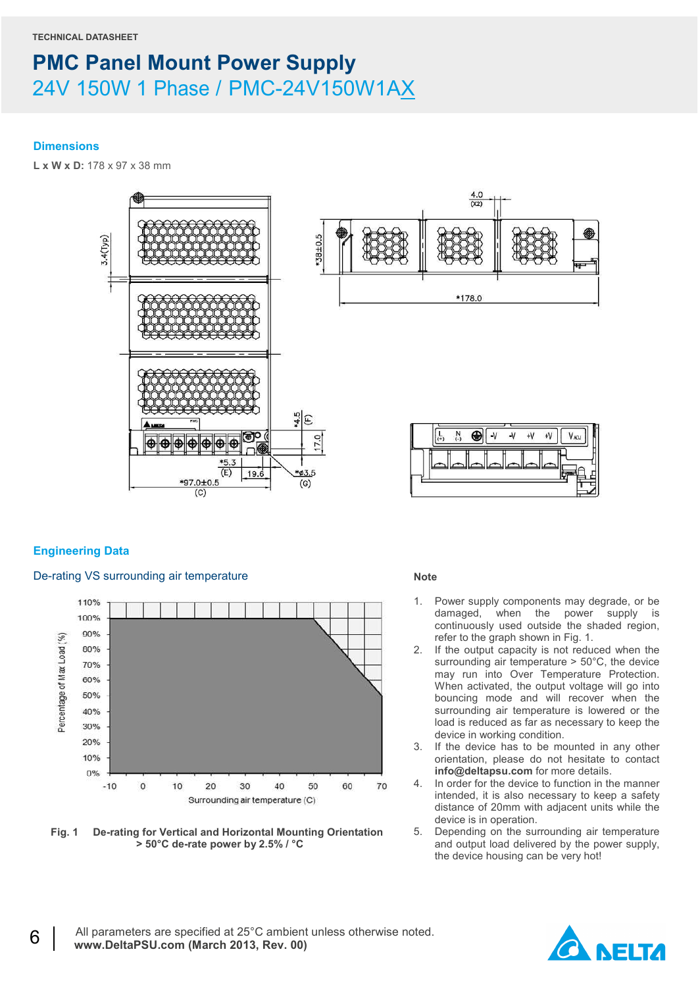#### **Dimensions**

**L x W x D:** 178 x 97 x 38 mm



### **Engineering Data**

#### De-rating VS surrounding air temperature



**Fig. 1 De-rating for Vertical and Horizontal Mounting Orientation > 50°C de-rate power by 2.5% / °C** 

#### **Note**

- 1. Power supply components may degrade, or be damaged, when the power supply is continuously used outside the shaded region, refer to the graph shown in Fig. 1.
- 2. If the output capacity is not reduced when the surrounding air temperature > 50°C, the device may run into Over Temperature Protection. When activated, the output voltage will go into bouncing mode and will recover when the surrounding air temperature is lowered or the load is reduced as far as necessary to keep the device in working condition.
- 3. If the device has to be mounted in any other orientation, please do not hesitate to contact **info@deltapsu.com** for more details.
- 4. In order for the device to function in the manner intended, it is also necessary to keep a safety distance of 20mm with adjacent units while the device is in operation.
- 5. Depending on the surrounding air temperature and output load delivered by the power supply, the device housing can be very hot!

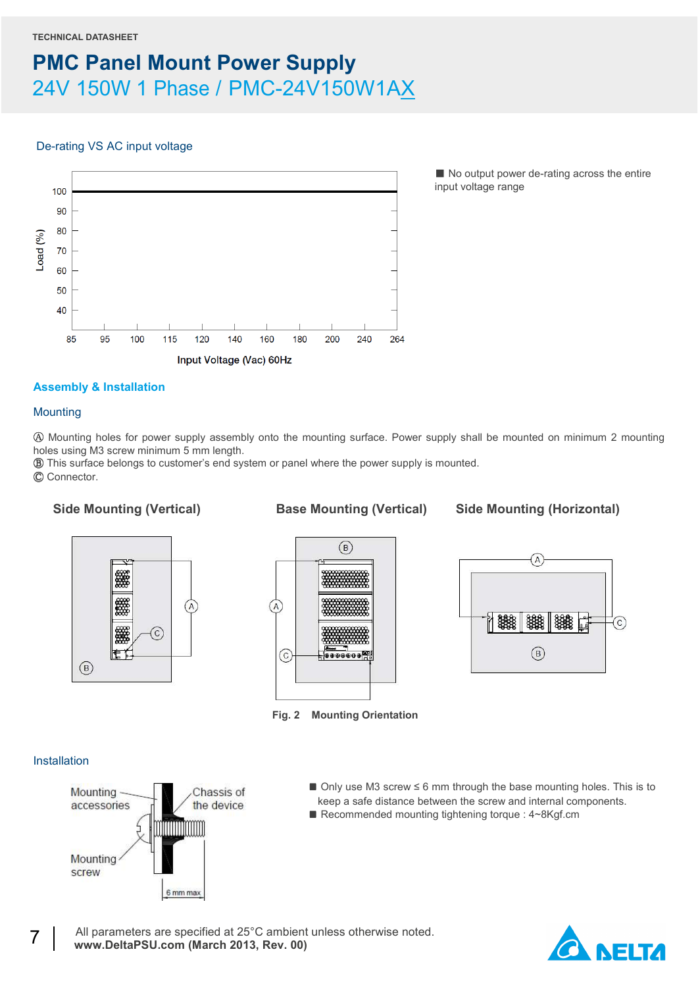### De-rating VS AC input voltage



■ No output power de-rating across the entire input voltage range

### **Assembly & Installation**

#### **Mounting**

Ⓐ Mounting holes for power supply assembly onto the mounting surface. Power supply shall be mounted on minimum 2 mounting holes using M3 screw minimum 5 mm length.

Ⓑ This surface belongs to customer's end system or panel where the power supply is mounted.

Ⓒ Connector.

Side Mounting (Vertical) **Base Mounting (Vertical)** Side Mounting (Horizontal)







**Fig. 2 Mounting Orientation**

#### Installation



- Only use M3 screw ≤ 6 mm through the base mounting holes. This is to keep a safe distance between the screw and internal components.
- Recommended mounting tightening torque : 4~8Kgf.cm

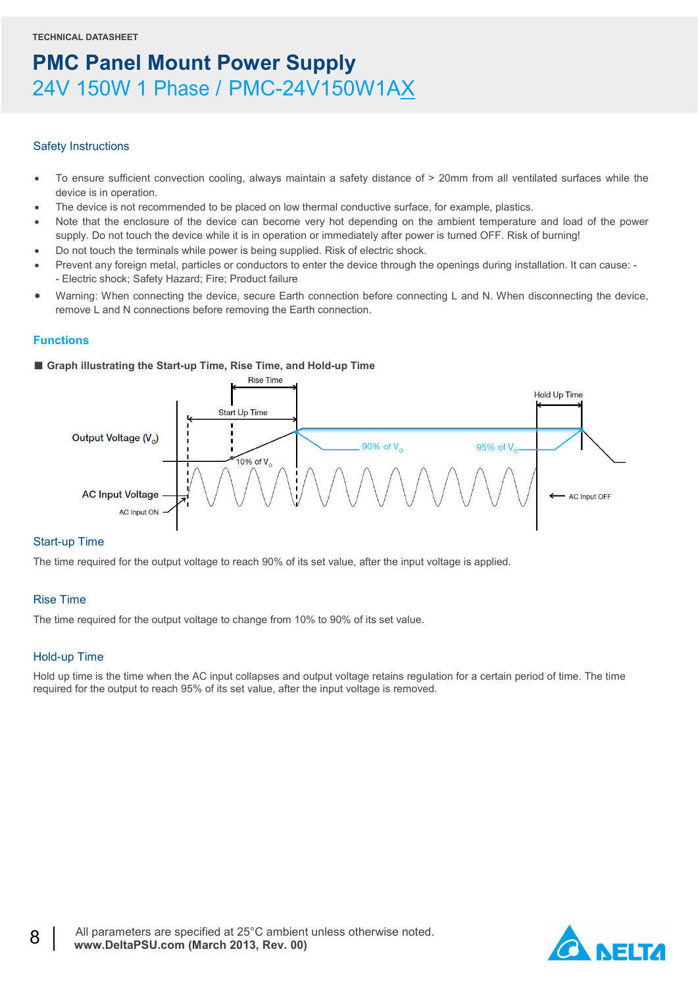#### Safety Instructions

- To ensure sufficient convection cooling, always maintain a safety distance of > 20mm from all ventilated surfaces while the device is in operation.
- The device is not recommended to be placed on low thermal conductive surface, for example, plastics.
- Note that the enclosure of the device can become very hot depending on the ambient temperature and load of the power supply. Do not touch the device while it is in operation or immediately after power is turned OFF. Risk of burning!
- Do not touch the terminals while power is being supplied. Risk of electric shock.
- Prevent any foreign metal, particles or conductors to enter the device through the openings during installation. It can cause: - Electric shock; Safety Hazard; Fire; Product failure
- Warning: When connecting the device, secure Earth connection before connecting L and N. When disconnecting the device, remove L and N connections before removing the Earth connection.

#### **Functions**

#### ■ Graph illustrating the Start-up Time, Rise Time, and Hold-up Time



#### Start-up Time

The time required for the output voltage to reach 90% of its set value, after the input voltage is applied.

#### Rise Time

The time required for the output voltage to change from 10% to 90% of its set value.

#### Hold-up Time

Hold up time is the time when the AC input collapses and output voltage retains regulation for a certain period of time. The time required for the output to reach 95% of its set value, after the input voltage is removed.

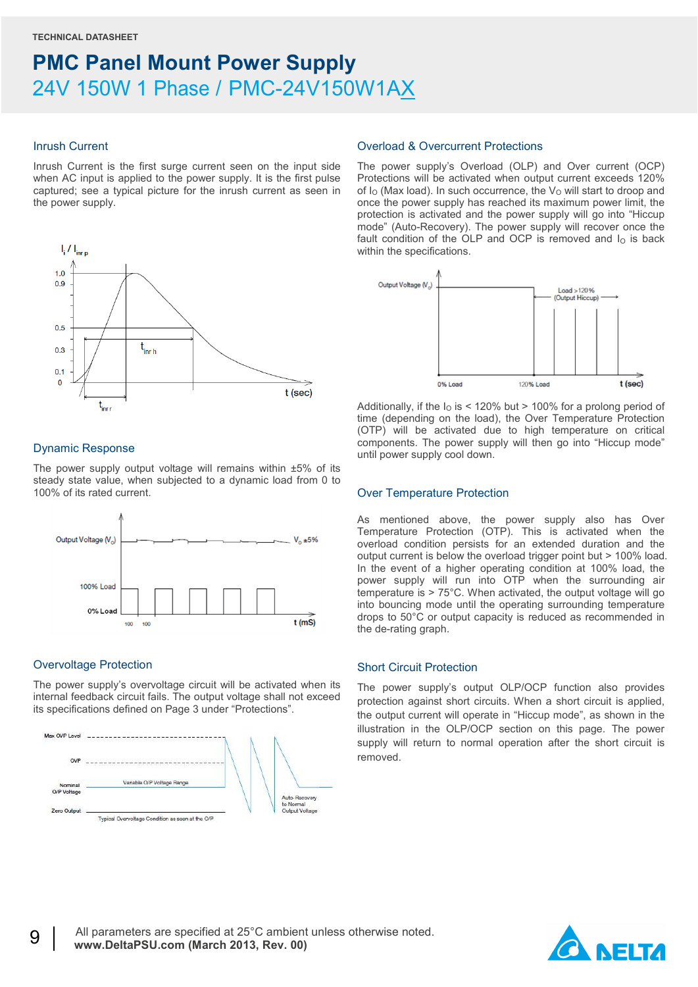#### Inrush Current

Inrush Current is the first surge current seen on the input side when AC input is applied to the power supply. It is the first pulse captured; see a typical picture for the inrush current as seen in the power supply.



#### Dynamic Response

The power supply output voltage will remains within ±5% of its steady state value, when subjected to a dynamic load from 0 to 100% of its rated current.



#### Overvoltage Protection

The power supply's overvoltage circuit will be activated when its internal feedback circuit fails. The output voltage shall not exceed its specifications defined on Page 3 under "Protections".



#### Overload & Overcurrent Protections

The power supply's Overload (OLP) and Over current (OCP) Protections will be activated when output current exceeds 120% of  $I<sub>O</sub>$  (Max load). In such occurrence, the  $V<sub>O</sub>$  will start to droop and once the power supply has reached its maximum power limit, the protection is activated and the power supply will go into "Hiccup mode" (Auto-Recovery). The power supply will recover once the fault condition of the OLP and OCP is removed and  $I<sub>0</sub>$  is back within the specifications.



Additionally, if the  $I<sub>0</sub>$  is < 120% but > 100% for a prolong period of time (depending on the load), the Over Temperature Protection (OTP) will be activated due to high temperature on critical components. The power supply will then go into "Hiccup mode" until power supply cool down.

#### Over Temperature Protection

As mentioned above, the power supply also has Over Temperature Protection (OTP). This is activated when the overload condition persists for an extended duration and the output current is below the overload trigger point but > 100% load. In the event of a higher operating condition at 100% load, the power supply will run into OTP when the surrounding air temperature is > 75°C. When activated, the output voltage will go into bouncing mode until the operating surrounding temperature drops to 50°C or output capacity is reduced as recommended in the de-rating graph.

#### Short Circuit Protection

The power supply's output OLP/OCP function also provides protection against short circuits. When a short circuit is applied, the output current will operate in "Hiccup mode", as shown in the illustration in the OLP/OCP section on this page. The power supply will return to normal operation after the short circuit is removed.

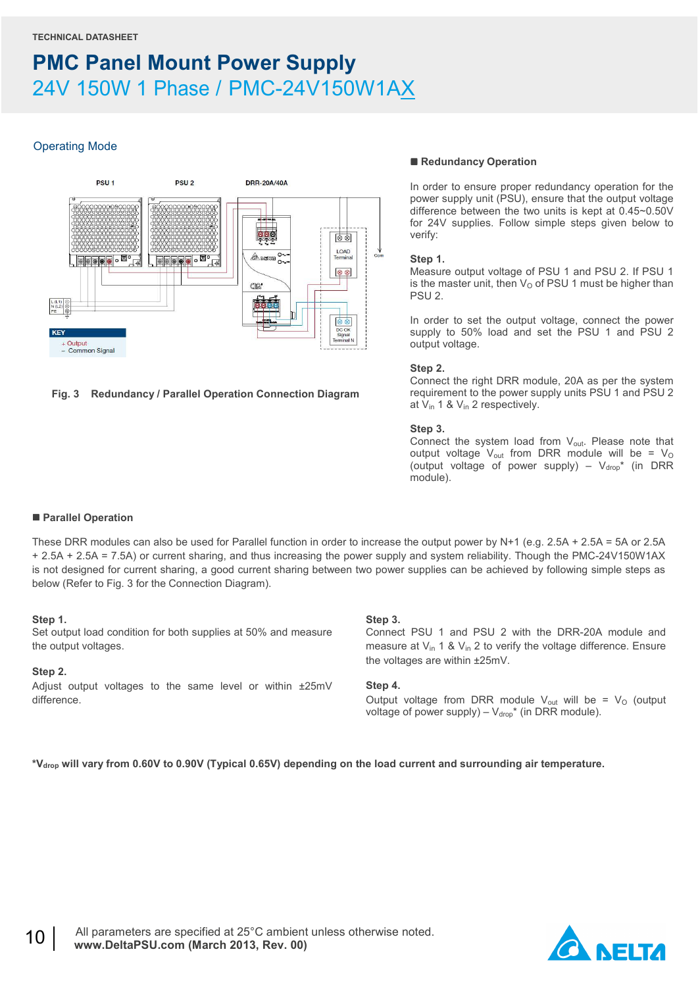#### Operating Mode



#### **Fig. 3 Redundancy / Parallel Operation Connection Diagram**

#### ■ Redundancy Operation

In order to ensure proper redundancy operation for the power supply unit (PSU), ensure that the output voltage difference between the two units is kept at 0.45~0.50V for 24V supplies. Follow simple steps given below to verify:

#### **Step 1.**

Measure output voltage of PSU 1 and PSU 2. If PSU 1 is the master unit, then  $V<sub>O</sub>$  of PSU 1 must be higher than PSU 2.

In order to set the output voltage, connect the power supply to 50% load and set the PSU 1 and PSU 2 output voltage.

#### **Step 2.**

Connect the right DRR module, 20A as per the system requirement to the power supply units PSU 1 and PSU 2 at Vin 1 & Vin 2 respectively.

#### **Step 3.**

Connect the system load from V<sub>out</sub>. Please note that output voltage  $V_{\text{out}}$  from DRR module will be =  $V_{\text{O}}$ (output voltage of power supply) –  $V_{drop}^*$  (in DRR module).

#### **Parallel Operation**

These DRR modules can also be used for Parallel function in order to increase the output power by N+1 (e.g. 2.5A + 2.5A = 5A or 2.5A + 2.5A + 2.5A = 7.5A) or current sharing, and thus increasing the power supply and system reliability. Though the PMC-24V150W1AX is not designed for current sharing, a good current sharing between two power supplies can be achieved by following simple steps as below (Refer to Fig. 3 for the Connection Diagram).

#### **Step 1.**

Set output load condition for both supplies at 50% and measure the output voltages.

#### **Step 2.**

Adjust output voltages to the same level or within ±25mV difference.

#### **Step 3.**

Connect PSU 1 and PSU 2 with the DRR-20A module and measure at  $V_{in}$  1 &  $V_{in}$  2 to verify the voltage difference. Ensure the voltages are within ±25mV.

#### **Step 4.**

Output voltage from DRR module  $V_{out}$  will be =  $V_{O}$  (output voltage of power supply) –  $V_{\text{drop}}^*$  (in DRR module).

**\*Vdrop will vary from 0.60V to 0.90V (Typical 0.65V) depending on the load current and surrounding air temperature.**